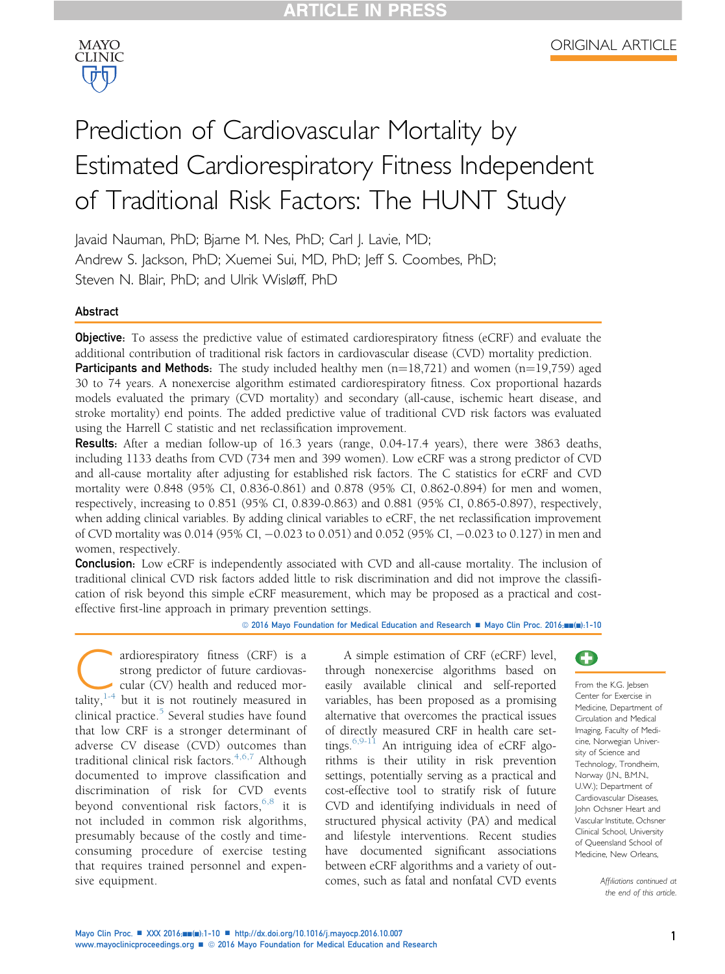

# Prediction of Cardiovascular Mortality by Estimated Cardiorespiratory Fitness Independent of Traditional Risk Factors: The HUNT Study

Javaid Nauman, PhD; Bjarne M. Nes, PhD; Carl J. Lavie, MD; Andrew S. Jackson, PhD; Xuemei Sui, MD, PhD; Jeff S. Coombes, PhD; Steven N. Blair, PhD; and Ulrik Wisløff, PhD

## Abstract

**Objective:** To assess the predictive value of estimated cardiorespiratory fitness (eCRF) and evaluate the additional contribution of traditional risk factors in cardiovascular disease (CVD) mortality prediction.

**Participants and Methods:** The study included healthy men  $(n=18,721)$  and women  $(n=19,759)$  aged 30 to 74 years. A nonexercise algorithm estimated cardiorespiratory fitness. Cox proportional hazards models evaluated the primary (CVD mortality) and secondary (all-cause, ischemic heart disease, and stroke mortality) end points. The added predictive value of traditional CVD risk factors was evaluated using the Harrell C statistic and net reclassification improvement.

Results: After a median follow-up of 16.3 years (range, 0.04-17.4 years), there were 3863 deaths, including 1133 deaths from CVD (734 men and 399 women). Low eCRF was a strong predictor of CVD and all-cause mortality after adjusting for established risk factors. The C statistics for eCRF and CVD mortality were 0.848 (95% CI, 0.836-0.861) and 0.878 (95% CI, 0.862-0.894) for men and women, respectively, increasing to 0.851 (95% CI, 0.839-0.863) and 0.881 (95% CI, 0.865-0.897), respectively, when adding clinical variables. By adding clinical variables to eCRF, the net reclassification improvement of CVD mortality was 0.014 (95% CI, -0.023 to 0.051) and 0.052 (95% CI, -0.023 to 0.127) in men and women, respectively.

**Conclusion:** Low eCRF is independently associated with CVD and all-cause mortality. The inclusion of traditional clinical CVD risk factors added little to risk discrimination and did not improve the classification of risk beyond this simple eCRF measurement, which may be proposed as a practical and costeffective first-line approach in primary prevention settings.

© 2016 Mayo Foundation for Medical Education and Research A Mayo Clin Proc. 2016;nn(n):1-10

ardiorespiratory fitness ([C](#page-9-0)RF) is a strong predictor of future cardiovascular (CV) health and reduced mortality,<sup>1-4</sup> but it is not routinely measured in strong predictor of future cardiovascular (CV) health and reduced morclinical practice. $5$  Several studies have found that low CRF is a stronger determinant of adverse CV disease (CVD) outcomes than traditional clinical risk factors.<sup>[4,6,7](#page-9-0)</sup> Although documented to improve classification and discrimination of risk for CVD events beyond conventional risk factors,  $6,8$  it is not included in common risk algorithms, presumably because of the costly and timeconsuming procedure of exercise testing that requires trained personnel and expensive equipment.

A simple estimation of CRF (eCRF) level, through nonexercise algorithms based on easily available clinical and self-reported variables, has been proposed as a promising alternative that overcomes the practical issues of directly measured CRF in health care settings.[6,9-11](#page-9-0) An intriguing idea of eCRF algorithms is their utility in risk prevention settings, potentially serving as a practical and cost-effective tool to stratify risk of future CVD and identifying individuals in need of structured physical activity (PA) and medical and lifestyle interventions. Recent studies have documented significant associations between eCRF algorithms and a variety of outcomes, such as fatal and nonfatal CVD events



From the K.G. Jebsen Center for Exercise in Medicine, Department of Circulation and Medical Imaging, Faculty of Medicine, Norwegian University of Science and Technology, Trondheim, Norway (J.N., B.M.N., U.W.); Department of Cardiovascular Diseases, John Ochsner Heart and Vascular Institute, Ochsner Clinical School, University of Queensland School of Medicine, New Orleans,

> Affiliations continued at the end of this article.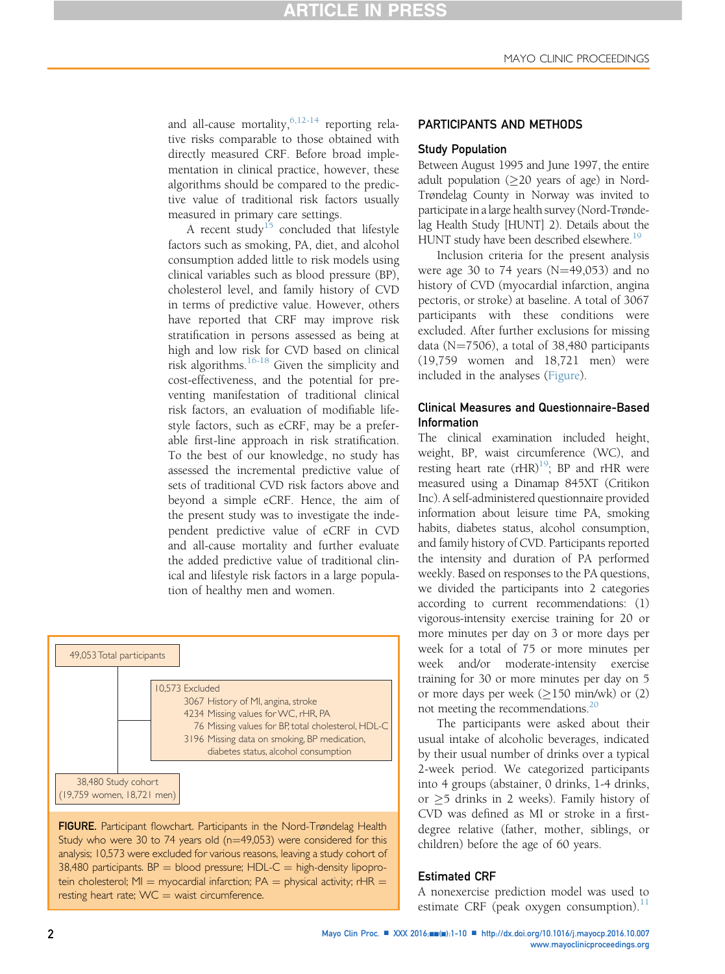and all-cause mortality,  $6,12-14$  reporting relative risks comparable to those obtained with directly measured CRF. Before broad implementation in clinical practice, however, these algorithms should be compared to the predictive value of traditional risk factors usually measured in primary care settings.

A recent study<sup>[15](#page-9-0)</sup> concluded that lifestyle factors such as smoking, PA, diet, and alcohol consumption added little to risk models using clinical variables such as blood pressure (BP), cholesterol level, and family history of CVD in terms of predictive value. However, others have reported that CRF may improve risk stratification in persons assessed as being at high and low risk for CVD based on clinical risk algorithms.<sup>[16-18](#page-9-0)</sup> Given the simplicity and cost-effectiveness, and the potential for preventing manifestation of traditional clinical risk factors, an evaluation of modifiable lifestyle factors, such as eCRF, may be a preferable first-line approach in risk stratification. To the best of our knowledge, no study has assessed the incremental predictive value of sets of traditional CVD risk factors above and beyond a simple eCRF. Hence, the aim of the present study was to investigate the independent predictive value of eCRF in CVD and all-cause mortality and further evaluate the added predictive value of traditional clinical and lifestyle risk factors in a large population of healthy men and women.



FIGURE. Participant flowchart. Participants in the Nord-Trøndelag Health Study who were 30 to 74 years old ( $n=49,053$ ) were considered for this analysis; 10,573 were excluded for various reasons, leaving a study cohort of 38,480 participants.  $BP = blood pressure$ ;  $HDL-C = high-density lipopro$ tein cholesterol; MI = myocardial infarction;  $PA =$  physical activity; rHR = resting heart rate;  $WC = wait$  circumference.

### PARTICIPANTS AND METHODS

### Study Population

Between August 1995 and June 1997, the entire adult population  $(\geq 20$  years of age) in Nord-Trøndelag County in Norway was invited to participate in a large health survey (Nord-Trøndelag Health Study [HUNT] 2). Details about the HUNT study have been described elsewhere.<sup>[19](#page-9-0)</sup>

Inclusion criteria for the present analysis were age 30 to 74 years ( $N=49,053$ ) and no history of CVD (myocardial infarction, angina pectoris, or stroke) at baseline. A total of 3067 participants with these conditions were excluded. After further exclusions for missing data ( $N=7506$ ), a total of 38,480 participants (19,759 women and 18,721 men) were included in the analyses (Figure).

# Clinical Measures and Questionnaire-Based Information

The clinical examination included height, weight, BP, waist circumference (WC), and resting heart rate  $(rHR)^{19}$ ; BP and rHR were measured using a Dinamap 845XT (Critikon Inc). A self-administered questionnaire provided information about leisure time PA, smoking habits, diabetes status, alcohol consumption, and family history of CVD. Participants reported the intensity and duration of PA performed weekly. Based on responses to the PA questions, we divided the participants into 2 categories according to current recommendations: (1) vigorous-intensity exercise training for 20 or more minutes per day on 3 or more days per week for a total of 75 or more minutes per week and/or moderate-intensity exercise training for 30 or more minutes per day on 5 or more days per week  $(\geq 150 \text{ min/wk})$  or (2) not meeting the recommendations.<sup>20</sup>

The participants were asked about their usual intake of alcoholic beverages, indicated by their usual number of drinks over a typical 2-week period. We categorized participants into 4 groups (abstainer, 0 drinks, 1-4 drinks, or  $\geq$ 5 drinks in 2 weeks). Family history of CVD was defined as MI or stroke in a firstdegree relative (father, mother, siblings, or children) before the age of 60 years.

### Estimated CRF

A nonexercise prediction model was used to estimate CRF (peak oxygen consumption). $^{11}$  $^{11}$  $^{11}$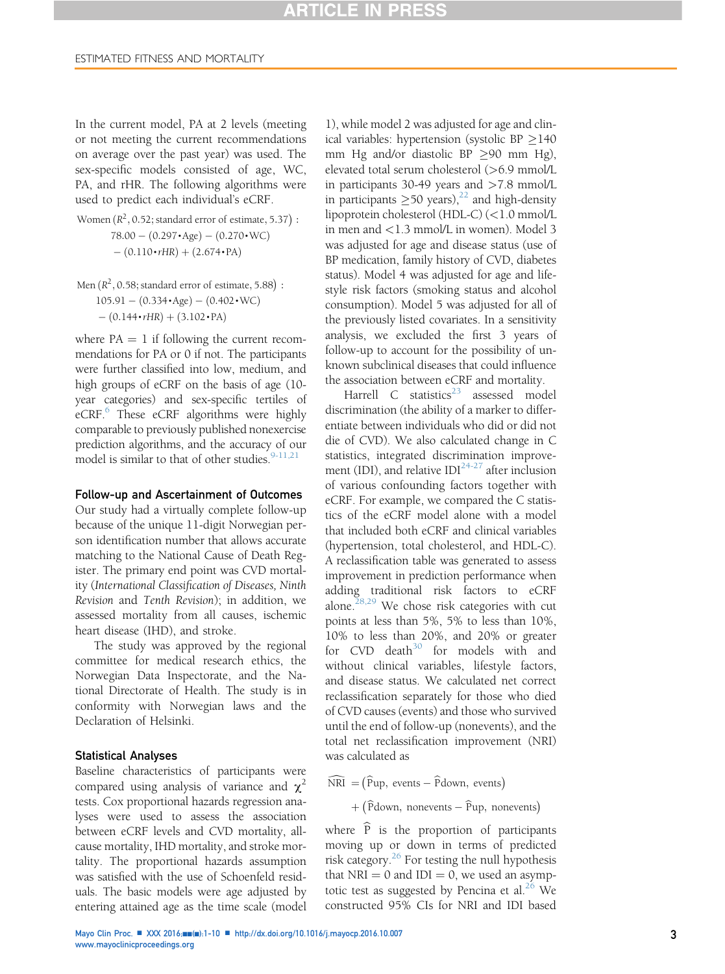In the current model, PA at 2 levels (meeting or not meeting the current recommendations on average over the past year) was used. The sex-specific models consisted of age, WC, PA, and rHR. The following algorithms were used to predict each individual's eCRF.

Women  $(R^2, 0.52;$  standard error of estimate, 5.37) :  $78.00 - (0.297 \cdot \text{Age}) - (0.270 \cdot \text{WC})$  $- (0.110 \cdot rHR) + (2.674 \cdot PA)$ 

Men (
$$
R^2
$$
, 0.58; standard error of estimate, 5.88) :  
105.91 – (0.334•Age) – (0.402•WC)  
– (0.144•rHR) + (3.102•PA)

where  $PA = 1$  if following the current recommendations for PA or 0 if not. The participants were further classified into low, medium, and high groups of eCRF on the basis of age (10 year categories) and sex-specific tertiles of eCRF.<sup>6</sup> These eCRF algorithms were highly comparable to previously published nonexercise prediction algorithms, and the accuracy of our model is similar to that of other studies.  $9-11,21$ 

#### Follow-up and Ascertainment of Outcomes

Our study had a virtually complete follow-up because of the unique 11-digit Norwegian person identification number that allows accurate matching to the National Cause of Death Register. The primary end point was CVD mortality (International Classification of Diseases, Ninth Revision and Tenth Revision); in addition, we assessed mortality from all causes, ischemic heart disease (IHD), and stroke.

The study was approved by the regional committee for medical research ethics, the Norwegian Data Inspectorate, and the National Directorate of Health. The study is in conformity with Norwegian laws and the Declaration of Helsinki.

### Statistical Analyses

Baseline characteristics of participants were compared using analysis of variance and  $\chi^2$ tests. Cox proportional hazards regression analyses were used to assess the association between eCRF levels and CVD mortality, allcause mortality, IHD mortality, and stroke mortality. The proportional hazards assumption was satisfied with the use of Schoenfeld residuals. The basic models were age adjusted by entering attained age as the time scale (model

1), while model 2 was adjusted for age and clinical variables: hypertension (systolic BP  $\geq$  140 mm Hg and/or diastolic BP  $\geq$ 90 mm Hg), elevated total serum cholesterol (>6.9 mmol/L in participants 30-49 years and  $>7.8$  mmol/L in participants  $\geq 50$  years),<sup>22</sup> and high-density lipoprotein cholesterol (HDL-C) (<1.0 mmol/L in men and <1.3 mmol/L in women). Model 3 was adjusted for age and disease status (use of BP medication, family history of CVD, diabetes status). Model 4 was adjusted for age and lifestyle risk factors (smoking status and alcohol consumption). Model 5 was adjusted for all of the previously listed covariates. In a sensitivity analysis, we excluded the first 3 years of follow-up to account for the possibility of unknown subclinical diseases that could influence the association between eCRF and mortality.

Harrell  $C$  statistics<sup>[23](#page-9-0)</sup> assessed model discrimination (the ability of a marker to differentiate between individuals who did or did not die of CVD). We also calculated change in C statistics, integrated discrimination improvement (IDI), and relative  $IDI^{24-27}$  $IDI^{24-27}$  $IDI^{24-27}$  after inclusion of various confounding factors together with eCRF. For example, we compared the C statistics of the eCRF model alone with a model that included both eCRF and clinical variables (hypertension, total cholesterol, and HDL-C). A reclassification table was generated to assess improvement in prediction performance when adding traditional risk factors to eCRF alone.<sup>[28,29](#page-9-0)</sup> We chose risk categories with cut points at less than 5%, 5% to less than 10%, 10% to less than 20%, and 20% or greater for  $CVD$  death<sup>[30](#page-9-0)</sup> for models with and without clinical variables, lifestyle factors, and disease status. We calculated net correct reclassification separately for those who died of CVD causes (events) and those who survived until the end of follow-up (nonevents), and the total net reclassification improvement (NRI) was calculated as

 $\widehat{\text{NRI}} = (\widehat{\text{P}}\text{up}, \text{events} - \widehat{\text{P}}\text{down}, \text{events})$ 

+ (Pdown, nonevents – Pup, nonevents)

where  $\widehat{P}$  is the proportion of participants moving up or down in terms of predicted risk category. $^{26}$  For testing the null hypothesis that  $NRI = 0$  and  $IDI = 0$ , we used an asymp-totic test as suggested by Pencina et al.<sup>[26](#page-9-0)</sup> We constructed 95% CIs for NRI and IDI based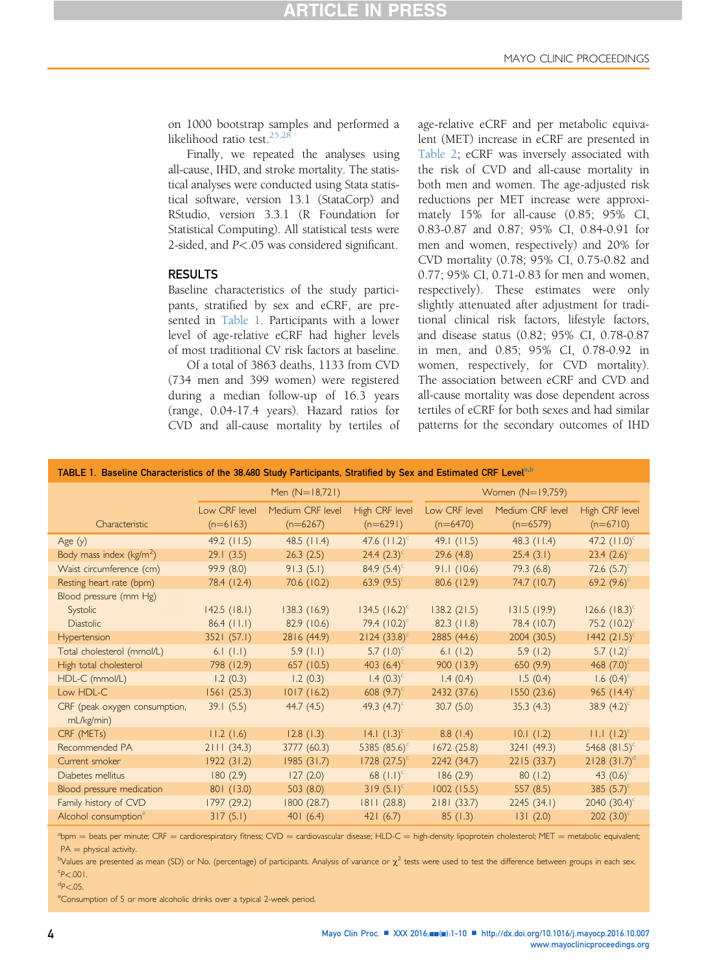on 1000 bootstrap samples and performed a likelihood ratio test.<sup>[25,28](#page-9-0)</sup>

Finally, we repeated the analyses using all-cause, IHD, and stroke mortality. The statistical analyses were conducted using Stata statistical software, version 13.1 (StataCorp) and RStudio, version 3.3.1 (R Foundation for Statistical Computing). All statistical tests were 2-sided, and P<.05 was considered significant.

### RESULTS

Baseline characteristics of the study participants, stratified by sex and eCRF, are presented in Table 1. Participants with a lower level of age-relative eCRF had higher levels of most traditional CV risk factors at baseline.

Of a total of 3863 deaths, 1133 from CVD (734 men and 399 women) were registered during a median follow-up of 16.3 years (range, 0.04-17.4 years). Hazard ratios for CVD and all-cause mortality by tertiles of age-relative eCRF and per metabolic equivalent (MET) increase in eCRF are presented in [Table 2](#page-4-0); eCRF was inversely associated with the risk of CVD and all-cause mortality in both men and women. The age-adjusted risk reductions per MET increase were approximately 15% for all-cause (0.85; 95% CI, 0.83-0.87 and 0.87; 95% CI, 0.84-0.91 for men and women, respectively) and 20% for CVD mortality (0.78; 95% CI, 0.75-0.82 and 0.77; 95% CI, 0.71-0.83 for men and women, respectively). These estimates were only slightly attenuated after adjustment for traditional clinical risk factors, lifestyle factors, and disease status (0.82; 95% CI, 0.78-0.87 in men, and 0.85; 95% CI, 0.78-0.92 in women, respectively, for CVD mortality). The association between eCRF and CVD and all-cause mortality was dose dependent across tertiles of eCRF for both sexes and had similar patterns for the secondary outcomes of IHD

|                                             |                             | Men $(N=18,721)$               |                              | Women (N=19,759)            |                                |                              |  |
|---------------------------------------------|-----------------------------|--------------------------------|------------------------------|-----------------------------|--------------------------------|------------------------------|--|
| Characteristic                              | Low CRF level<br>$(n=6163)$ | Medium CRF level<br>$(n=6267)$ | High CRF level<br>$(n=6291)$ | Low CRF level<br>$(n=6470)$ | Medium CRF level<br>$(n=6579)$ | High CRF level<br>$(n=6710)$ |  |
| Age $(y)$                                   | $49.2$ (11.5)               | 48.5 $(11.4)$                  | 47.6 $(11.2)^{c}$            | 49.1(11.5)                  | $48.3$ (11.4)                  | 47.2 $(11.0)^c$              |  |
| Body mass index ( $kg/m2$ )                 | 29.1(3.5)                   | 26.3(2.5)                      | 24.4 $(2.3)^c$               | 29.6(4.8)                   | 25.4(3.1)                      | 23.4 $(2.6)^c$               |  |
| Waist circumference (cm)                    | 99.9 (8.0)                  | 91.3(5.1)                      | 84.9 $(5.4)^c$               | 91.1(10.6)                  | 79.3(6.8)                      | 72.6 $(5.7)^c$               |  |
| Resting heart rate (bpm)                    | 78.4 (12.4)                 | 70.6 (10.2)                    | 63.9 $(9.5)^{c}$             | 80.6 (12.9)                 | 74.7 (10.7)                    | 69.2 $(9.6)^c$               |  |
| Blood pressure (mm Hg)                      |                             |                                |                              |                             |                                |                              |  |
| Systolic                                    | 142.5(18.1)                 | 138.3(16.9)                    | 134.5 $(16.2)^{c}$           | 138.2(21.5)                 | 131.5(19.9)                    | $126.6$ $(18.3)^c$           |  |
| <b>Diastolic</b>                            | $86.4$ (11.1)               | 82.9 (10.6)                    | 79.4 $(10.2)^{c}$            | 82.3(11.8)                  | 78.4 (10.7)                    | 75.2 $(10.2)^{c}$            |  |
| Hypertension                                | 3521 (57.1)                 | 2816 (44.9)                    | $2124 (33.8)^c$              | 2885 (44.6)                 | 2004 (30.5)                    | $1442 (21.5)^c$              |  |
| Total cholesterol (mmol/L)                  | 6.1 $(l, l)$                | 5.9(1.1)                       | 5.7 $(1.0)^c$                | 6.1(1.2)                    | 5.9(1.2)                       | 5.7 $(1.2)^{c}$              |  |
| High total cholesterol                      | 798 (12.9)                  | 657 (10.5)                     | 403 $(6.4)^c$                | 900(13.9)                   | 650(9.9)                       | 468 $(7.0)^c$                |  |
| HDL-C (mmol/L)                              | 1.2(0.3)                    | 1.2(0.3)                       | 1.4 $(0.3)^{c}$              | 1.4(0.4)                    | 1.5(0.4)                       | 1.6 $(0.4)^c$                |  |
| Low HDL-C                                   | 1561(25.3)                  | 1017(16.2)                     | 608 $(9.7)^c$                | 2432 (37.6)                 | 1550 (23.6)                    | 965 $(14.4)^c$               |  |
| CRF (peak oxygen consumption,<br>mL/kg/min) | 39.1(5.5)                   | 44.7(4.5)                      | 49.3 $(4.7)^c$               | 30.7(5.0)                   | 35.3(4.3)                      | 38.9 $(4.2)^c$               |  |
| CRF (METs)                                  | 11.2(1.6)                   | 12.8(1.3)                      | 14.1 $(1.3)^{c}$             | 8.8(1.4)                    | 10.1(1.2)                      | $11.1 (1.2)^c$               |  |
| Recommended PA                              | 2111(34.3)                  | 3777 (60.3)                    | 5385 $(85.6)^c$              | 1672(25.8)                  | 3241 (49.3)                    | 5468 $(81.5)^c$              |  |
| Current smoker                              | 1922(31.2)                  | 1985(31.7)                     | $1728 (27.5)^c$              | 2242 (34.7)                 | 2215(33.7)                     | $2128$ $(31.7)^d$            |  |
| Diabetes mellitus                           | 180(2.9)                    | 127(2.0)                       | 68 $(1.1)^c$                 | 186(2.9)                    | 80(1.2)                        | 43 $(0.6)^c$                 |  |
| Blood pressure medication                   | 801 (13.0)                  | 503(8.0)                       | $319(5.1)^{c}$               | 1002(15.5)                  | 557(8.5)                       | 385 $(5.7)^c$                |  |
| Family history of CVD                       | 1797 (29.2)                 | 1800 (28.7)                    | 1811(28.8)                   | 2181(33.7)                  | 2245 (34.1)                    | 2040 $(30.4)^c$              |  |
| Alcohol consumption <sup>e</sup>            | 317(5.1)                    | 401(6.4)                       | 421(6.7)                     | 85(1.3)                     | 131(2.0)                       | 202 $(3.0)^c$                |  |

 $a_{\text{bpm}}$  beats per minute; CRF = cardiorespiratory fitness; CVD = cardiovascular disease; HLD-C = high-density lipoprotein cholesterol; MET = metabolic equivalent;  $PA =$  physical activity.

 $\frac{b}{d}$ ues are presented as mean (SD) or No. (percentage) of participants. Analysis of variance or  $\chi^2$  tests were used to test the difference between groups in each sex.  $P < .001$ .

<sup>e</sup>Consumption of 5 or more alcoholic drinks over a typical 2-week period.

 $\textdegree P$  <.05.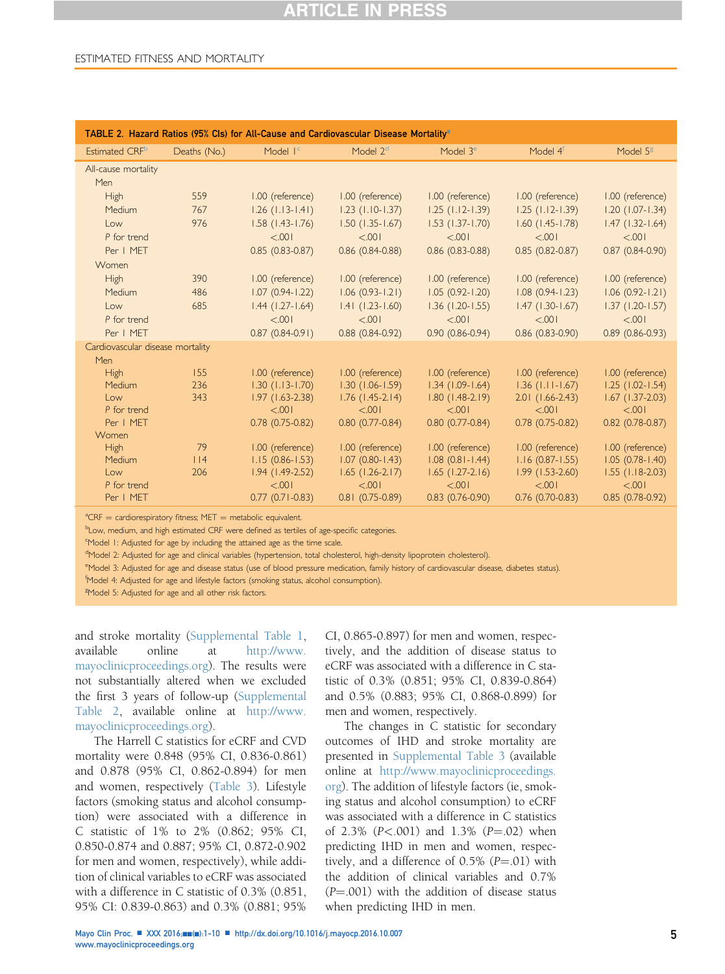# **ARTICLE IN PRESS**

### <span id="page-4-0"></span>ESTIMATED FITNESS AND MORTALITY

| TABLE 2. Hazard Ratios (95% Cls) for All-Cause and Cardiovascular Disease Mortality <sup>a</sup>               |                        |  |  |  |  |  |  |  |
|----------------------------------------------------------------------------------------------------------------|------------------------|--|--|--|--|--|--|--|
| Model $2d$<br>Model $4f$<br>Estimated CRF <sup>b</sup><br>Model I <sup>c</sup><br>Model $3e$<br>Deaths (No.)   | Model $5g$             |  |  |  |  |  |  |  |
| All-cause mortality                                                                                            |                        |  |  |  |  |  |  |  |
| Men                                                                                                            |                        |  |  |  |  |  |  |  |
| 559<br>1.00 (reference)<br>1.00 (reference)<br>1.00 (reference)<br><b>High</b><br>1.00 (reference)             | 1.00 (reference)       |  |  |  |  |  |  |  |
| $1.26$ (1.13-1.41)<br>$1.23$ (1.10-1.37)<br>$1.25$ (1.12-1.39)<br>$1.25$ (1.12-1.39)<br>767<br>Medium          | $1.20(1.07-1.34)$      |  |  |  |  |  |  |  |
| 976<br>$1.58$ $(1.43 - 1.76)$<br>$1.50$ (1.35-1.67)<br>$1.53$ $(1.37 - 1.70)$<br>$1.60$ (1.45-1.78)<br>Low     | $1.47(1.32 - 1.64)$    |  |  |  |  |  |  |  |
| < 0.001<br>< 0.001<br>< 0.001<br>100.5<br>P for trend                                                          | < 0.001                |  |  |  |  |  |  |  |
| $0.85(0.83 - 0.87)$<br>Per   MET<br>$0.86$ (0.84-0.88)<br>$0.86$ (0.83-0.88)<br>$0.85(0.82 - 0.87)$            | $0.87(0.84-0.90)$      |  |  |  |  |  |  |  |
| Women                                                                                                          |                        |  |  |  |  |  |  |  |
| <b>High</b><br>390<br>1.00 (reference)<br>1.00 (reference)<br>1.00 (reference)<br>1.00 (reference)             | 1.00 (reference)       |  |  |  |  |  |  |  |
| $1.07(0.94 - 1.22)$<br>$1.06(0.93 - 1.21)$<br>$1.05(0.92 - 1.20)$<br>$1.08(0.94 - 1.23)$<br>486<br>Medium      | $1.06(0.92 - 1.21)$    |  |  |  |  |  |  |  |
| $1.44$ (1.27-1.64)<br>685<br>$1.41$ $(1.23 - 1.60)$<br>$1.36$ (1.20-1.55)<br>$1.47$ (1.30-1.67)<br>Low         | $1.37$ (1.20-1.57)     |  |  |  |  |  |  |  |
| < 0.001<br>< 0.001<br>< 0.001<br>100.5<br>P for trend                                                          | < 0.001                |  |  |  |  |  |  |  |
| $0.87(0.84-0.91)$<br>Per   MET<br>$0.88(0.84-0.92)$<br>$0.90(0.86 - 0.94)$<br>$0.86(0.83 - 0.90)$              | $0.89(0.86 - 0.93)$    |  |  |  |  |  |  |  |
| Cardiovascular disease mortality                                                                               |                        |  |  |  |  |  |  |  |
| Men                                                                                                            |                        |  |  |  |  |  |  |  |
| 155<br>1.00 (reference)<br>1.00 (reference)<br>1.00 (reference)<br>1.00 (reference)<br><b>High</b>             | 1.00 (reference)       |  |  |  |  |  |  |  |
| $1.30(1.13 - 1.70)$<br>$1.30(1.06 - 1.59)$<br>$1.34$ (1.09-1.64)<br>$1.36$ ( $1.11 - 1.67$ )<br>Medium<br>236  | $1.25$ $(1.02 - 1.54)$ |  |  |  |  |  |  |  |
| 343<br>$1.97(1.63 - 2.38)$<br>$1.76$ (1.45-2.14)<br>$1.80(1.48-2.19)$<br>$2.01$ (1.66-2.43)<br>Low             | $1.67$ (1.37-2.03)     |  |  |  |  |  |  |  |
| P for trend<br>< 0.001<br>< 0.001<br>< 0.001<br>< .001                                                         | < 0.001                |  |  |  |  |  |  |  |
| Per   MET<br>$0.78(0.75-0.82)$<br>$0.80(0.77-0.84)$<br>$0.80(0.77-0.84)$<br>$0.78(0.75-0.82)$<br>Women         | $0.82$ (0.78-0.87)     |  |  |  |  |  |  |  |
| 79<br>1.00 (reference)<br>1.00 (reference)<br>1.00 (reference)<br>1.00 (reference)<br><b>High</b>              | 1.00 (reference)       |  |  |  |  |  |  |  |
| $1.07(0.80-1.43)$<br>$1.15(0.86 - 1.53)$<br>$1.08$ $(0.81 - 1.44)$<br>$1.16(0.87 - 1.55)$<br>Medium<br>$ $   4 | $1.05(0.78-1.40)$      |  |  |  |  |  |  |  |
| $1.94$ (1.49-2.52)<br>$1.65$ (1.26-2.17)<br>$1.65$ $(1.27 - 2.16)$<br>$1.99(1.53-2.60)$<br>Low<br>206          | $1.55$ (1.18-2.03)     |  |  |  |  |  |  |  |
| < 0.001<br>< 0.001<br>< 0.001<br>100.5<br>P for trend                                                          | < 0.001                |  |  |  |  |  |  |  |
| $0.77(0.71 - 0.83)$<br>$0.81(0.75-0.89)$<br>$0.83(0.76-0.90)$<br>$0.76(0.70-0.83)$<br>Per   MET                | $0.85(0.78-0.92)$      |  |  |  |  |  |  |  |

 $A^a$ CRF = cardiorespiratory fitness; MET = metabolic equivalent.<br><sup>b</sup>l.o.v. medium, and bigh estimated CRF were defined as tertile

<sup>b</sup>Low, medium, and high estimated CRF were defined as tertiles of age-specific categories.

<sup>c</sup>Model 1: Adjusted for age by including the attained age as the time scale.

<sup>d</sup>Model 2: Adjusted for age and clinical variables (hypertension, total cholesterol, high-density lipoprotein cholesterol).

e Model 3: Adjusted for age and disease status (use of blood pressure medication, family history of cardiovascular disease, diabetes status).

f Model 4: Adjusted for age and lifestyle factors (smoking status, alcohol consumption).

<sup>g</sup>Model 5: Adjusted for age and all other risk factors.

and stroke mortality (Supplemental Table 1, available online at [http://www.](http://www.mayoclinicproceedings.org) [mayoclinicproceedings.org\)](http://www.mayoclinicproceedings.org). The results were not substantially altered when we excluded the first 3 years of follow-up (Supplemental Table 2, available online at [http://www.](http://www.mayoclinicproceedings.org) [mayoclinicproceedings.org\)](http://www.mayoclinicproceedings.org).

The Harrell C statistics for eCRF and CVD mortality were 0.848 (95% CI, 0.836-0.861) and 0.878 (95% CI, 0.862-0.894) for men and women, respectively ([Table 3\)](#page-5-0). Lifestyle factors (smoking status and alcohol consumption) were associated with a difference in C statistic of 1% to 2% (0.862; 95% CI, 0.850-0.874 and 0.887; 95% CI, 0.872-0.902 for men and women, respectively), while addition of clinical variables to eCRF was associated with a difference in C statistic of 0.3% (0.851, 95% CI: 0.839-0.863) and 0.3% (0.881; 95%

CI, 0.865-0.897) for men and women, respectively, and the addition of disease status to eCRF was associated with a difference in C statistic of 0.3% (0.851; 95% CI, 0.839-0.864) and 0.5% (0.883; 95% CI, 0.868-0.899) for men and women, respectively.

The changes in C statistic for secondary outcomes of IHD and stroke mortality are presented in Supplemental Table 3 (available online at [http://www.mayoclinicproceedings.](http://www.mayoclinicproceedings.org) [org\)](http://www.mayoclinicproceedings.org). The addition of lifestyle factors (ie, smoking status and alcohol consumption) to eCRF was associated with a difference in C statistics of  $2.3\%$  ( $P < .001$ ) and  $1.3\%$  ( $P = .02$ ) when predicting IHD in men and women, respectively, and a difference of  $0.5\%$  ( $P = .01$ ) with the addition of clinical variables and 0.7%  $(P = .001)$  with the addition of disease status when predicting IHD in men.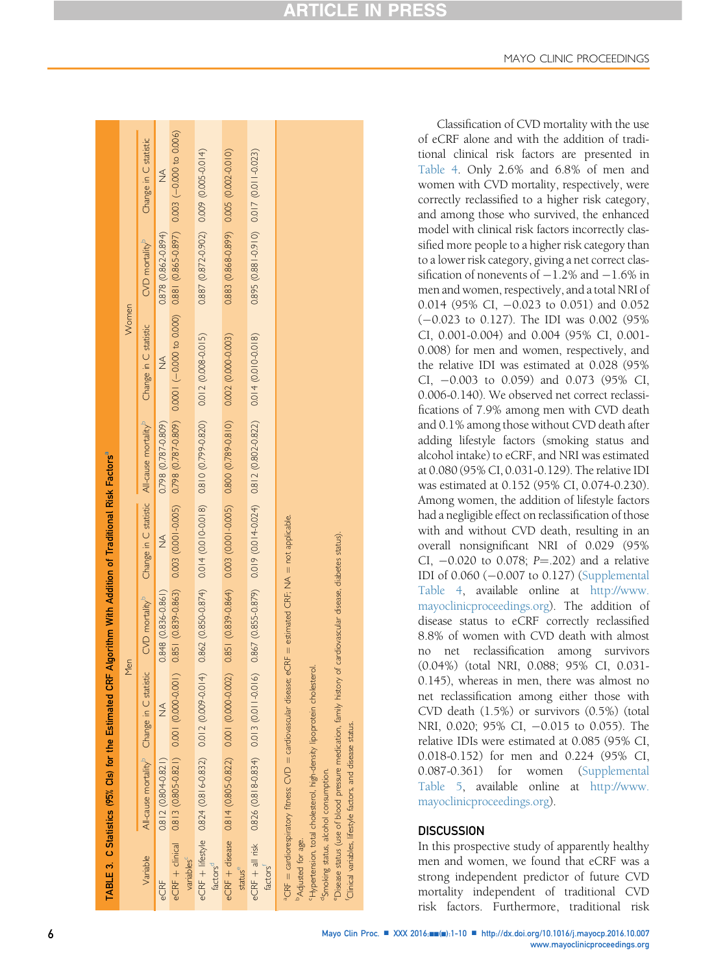| <b>ARTICLE IN PRESS</b> |  |
|-------------------------|--|
|-------------------------|--|

<span id="page-5-0"></span>

|                                | TABLE 3. C Statistics (95% Cls) for the Estimated CRF Algorithm With Addition of Traditional Risk Factors <sup>®</sup>                                                                                                                                                                                                                                                 |                                                        |                            |                                                        |                     |                                                                                                                                  |                                         |                       |  |
|--------------------------------|------------------------------------------------------------------------------------------------------------------------------------------------------------------------------------------------------------------------------------------------------------------------------------------------------------------------------------------------------------------------|--------------------------------------------------------|----------------------------|--------------------------------------------------------|---------------------|----------------------------------------------------------------------------------------------------------------------------------|-----------------------------------------|-----------------------|--|
|                                |                                                                                                                                                                                                                                                                                                                                                                        | Men                                                    |                            |                                                        |                     | Women                                                                                                                            |                                         |                       |  |
| Variable                       |                                                                                                                                                                                                                                                                                                                                                                        | All-cause mortality <sup>p</sup> Change in C statistic | CVD mortality <sup>b</sup> | Change in C statistic All-cause mortality <sup>9</sup> |                     | Change in C statistic                                                                                                            | CVD mortality <sup>b</sup>              | Change in C statistic |  |
| eCRF                           | $0.812(0.804 - 0.821)$                                                                                                                                                                                                                                                                                                                                                 | $\frac{1}{2}$                                          | $0.848$ $(0.836 - 0.861)$  | $\frac{1}{2}$                                          | 0.798 (0.787-0.809) |                                                                                                                                  | 0.878 (0.862-0.894)                     | $\frac{1}{2}$         |  |
| variables                      | eCRF + dinical 0.813 (0.805-0.821) 0.001 (0.0000-0.001)                                                                                                                                                                                                                                                                                                                |                                                        |                            |                                                        |                     | 0.851 (0.839-0.863) 0.003 (0.001-0.005) 0.798 (0.787-0.809) 0.0000 (-0.0000 to 0.000) 0.881 (0.865-0.897) 0.000 -0.000 to 0.006) |                                         |                       |  |
| factors <sup>d</sup>           | e⊂RF + lifestyle 0.8324(0.816-0.832) 0.014(0.014) 0.862(0.850-0.850(0.0010-0.012) 0.810(0.709-0.010(0.008-0.015)                                                                                                                                                                                                                                                       |                                                        |                            |                                                        |                     |                                                                                                                                  | 0.887 (0.872-0.902) 0.009 (0.005-0.014) |                       |  |
| status <sup>e</sup>            | e⊂RF + disease 0.814 (0.805-0.822)  0.001 (0.0000-0.0007 (0.839-0.864)  0.001(0.0001 (0.0001 0.0000 0.000 0.000 0.000 0.000 0.000 0.000 0.000 0.000 0.000 0.000 0.000 0.000 0.000 0.000 0.000 0.000 0.000 0.000 0.000 0.000 0                                                                                                                                          |                                                        |                            |                                                        |                     |                                                                                                                                  | 0.883 (0.868-0.899) 0.005 (0.002-0.010) |                       |  |
| factors <sup>t</sup>           | e⊂RF + all risk 0.818-0.834 (0.819-0.835 (0.011-0.016) 0.855-0.879) 0.019 (0.014-0.024) 0.812 (0.802-0.822) 0.014 (0.010-0.018)                                                                                                                                                                                                                                        |                                                        |                            |                                                        |                     |                                                                                                                                  | 0.895 (0.881-0.910) 0.017 (0.011-0.023) |                       |  |
| <sup>2</sup> Adjusted for age. | <sup>a</sup> CRF = cardiorespiratory ftmess; CVD = cardiovascular disease; eCRF = estimated CRF; NA = not applicable.<br>"Disease status (use of blood pressure medication, family history of cardiovascular disease, diabetes status),<br>Hypertension, total cholesterol, high-density lipoprotein cholesterol.<br><sup>9</sup> Smoking status, alcohol consumption. |                                                        |                            |                                                        |                     |                                                                                                                                  |                                         |                       |  |

Classi fication of CVD mortality with the use of eCRF alone and with the addition of traditional clinical risk factors are presented in [Table 4.](#page-6-0) Only 2.6% and 6.8% of men and women with CVD mortality, respectively, were correctly reclassi fied to a higher risk category, and among those who survived, the enhanced model with clinical risk factors incorrectly classified more people to a higher risk category than to a lower risk category, giving a net correct classification of nonevents of  $-1.2\%$  and  $-1.6\%$  in men and women, respectively, and a total NRI of 0.014 (95% CI, -0.023 to 0.051) and 0.052 ( -0.023 to 0.127). The IDI was 0.002 (95% CI, 0.001-0.004) and 0.004 (95% CI, 0.001- 0.008) for men and women, respectively, and the relative IDI was estimated at 0.028 (95% CI, -0.003 to 0.059) and 0.073 (95% CI, 0.006-0.140). We observed net correct reclassi- fications of 7.9% among men with CVD death and 0.1% among those without CVD death after adding lifestyle factors (smoking status and alcohol intake) to eCRF, and NRI was estimated at 0.080 (95% CI, 0.031-0.129). The relative IDI was estimated at 0.152 (95% CI, 0.074-0.230). Among women, the addition of lifestyle factors had a negligible effect on reclassi fication of those with and without CVD death, resulting in an overall nonsigni ficant NRI of 0.029 (95% CI, -0.020 to 0.078; P=.202) and a relative IDI of 0.060 ( -0.007 to 0.127) (Supplemental Table 4, available online at [http://www.](http://www.mayoclinicproceedings.org) [mayoclinicproceedings.org](http://www.mayoclinicproceedings.org)). The addition of disease status to eCRF correctly reclassi fied 8.8% of women with CVD death with almost no net reclassi fication among survivors (0.04%) (total NRI, 0.088; 95% CI, 0.031- 0.145), whereas in men, there was almost no net reclassi fication among either those with CVD death (1.5%) or survivors (0.5%) (total NRI, 0.020; 95% CI, -0.015 to 0.055). The relative IDIs were estimated at 0.085 (95% CI, 0.018-0.152) for men and 0.224 (95% CI, 0.087-0.361) for women (Supplemental Table 5, available online at [http://www.](http://www.mayoclinicproceedings.org) [mayoclinicproceedings.org](http://www.mayoclinicproceedings.org)).

MAYO CLINIC PROCEEDINGS

## **DISCUSSION**

In this prospective study of apparently healthy men and women, we found that eCRF was a strong independent predictor of future CVD mortality independent of traditional CVD risk factors. Furthermore, traditional risk

fClinical variables, lifestyle factors, and disease status.

Clinical variables, lifestyle factors, and disease status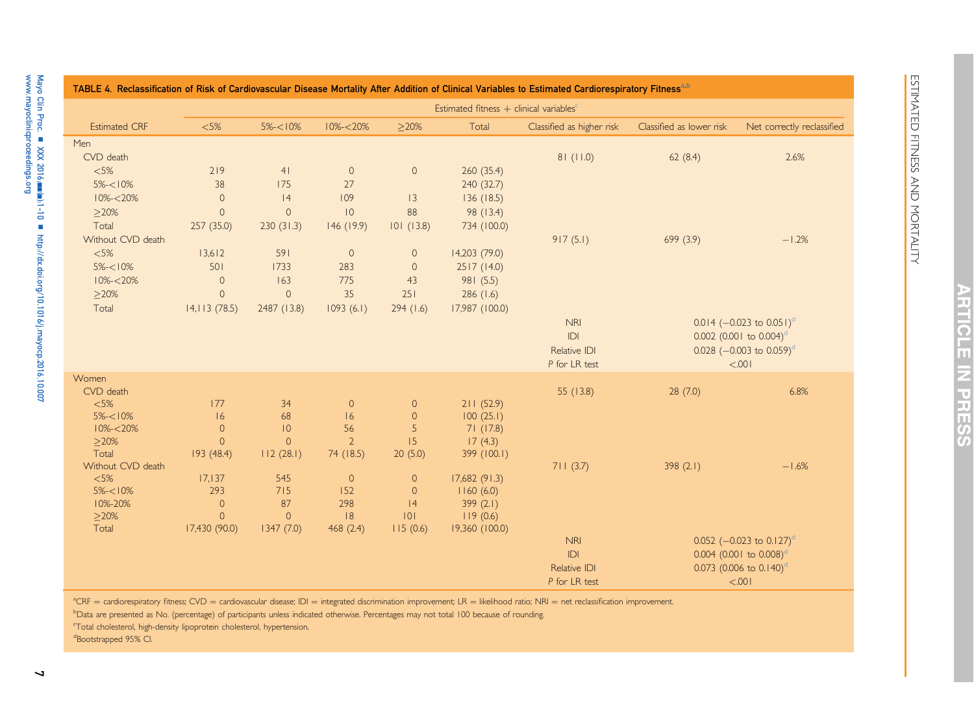ESTIMATED FITNESS AND MORTALITY

ESTIMATED FITNESS AND MORTALITY

|                      |                                                     |                 |                     |                     |                | TABLE 4. Reclassification of Risk of Cardiovascular Disease Mortality After Addition of Clinical Variables to Estimated Cardiorespiratory Fitness <sup>a,b</sup> |                                       |                                                                                                                         |
|----------------------|-----------------------------------------------------|-----------------|---------------------|---------------------|----------------|------------------------------------------------------------------------------------------------------------------------------------------------------------------|---------------------------------------|-------------------------------------------------------------------------------------------------------------------------|
|                      | Estimated fitness + clinical variables <sup>c</sup> |                 |                     |                     |                |                                                                                                                                                                  |                                       |                                                                                                                         |
| <b>Estimated CRF</b> | <5%                                                 | $5\% - 10\%$    | $10\% - 20\%$       | >20%                | Total          | Classified as higher risk                                                                                                                                        | Classified as lower risk              | Net correctly reclassified                                                                                              |
| Men                  |                                                     |                 |                     |                     |                |                                                                                                                                                                  |                                       |                                                                                                                         |
| CVD death            |                                                     |                 |                     |                     |                | 81(11.0)                                                                                                                                                         | 62(8.4)                               | 2.6%                                                                                                                    |
| $<\!\!5\!\%$         | 219                                                 | 41              | $\mathsf{O}\xspace$ | $\mathsf{O}\xspace$ | 260 (35.4)     |                                                                                                                                                                  |                                       |                                                                                                                         |
| $5\% < 10\%$         | 38                                                  | 175             | 27                  |                     | 240 (32.7)     |                                                                                                                                                                  |                                       |                                                                                                                         |
| $10\% - 20\%$        | $\mathsf{O}\xspace$                                 | 4               | 109                 | 3                   | 136(18.5)      |                                                                                                                                                                  |                                       |                                                                                                                         |
| $\geq$ 20%           | $\overline{0}$                                      | $\circ$         | 0                   | 88                  | 98 (13.4)      |                                                                                                                                                                  |                                       |                                                                                                                         |
| Total                | 257(35.0)                                           | 230(31.3)       | 146 (19.9)          | 101(13.8)           | 734 (100.0)    |                                                                                                                                                                  |                                       |                                                                                                                         |
| Without CVD death    |                                                     |                 |                     |                     |                | 917(5.1)                                                                                                                                                         | 699 (3.9)                             | $-1.2%$                                                                                                                 |
| $<5\%$               | 13,612                                              | 591             | $\circ$             | $\circ$             | 14,203 (79.0)  |                                                                                                                                                                  |                                       |                                                                                                                         |
| $5\% < 10\%$         | 501                                                 | 1733            | 283                 | $\circ$             | 2517 (14.0)    |                                                                                                                                                                  |                                       |                                                                                                                         |
| $10\% - 20\%$        | $\mathsf{O}\xspace$                                 | 163             | 775                 | 43                  | 981 (5.5)      |                                                                                                                                                                  |                                       |                                                                                                                         |
| $\geq$ 20%           | $\circ$                                             | $\circ$         | 35                  | 251                 | 286(1.6)       |                                                                                                                                                                  |                                       |                                                                                                                         |
| Total                | 14,113(78.5)                                        | 2487 (13.8)     | 1093(6.1)           | 294(1.6)            | 17,987 (100.0) |                                                                                                                                                                  |                                       |                                                                                                                         |
|                      |                                                     |                 |                     |                     |                | <b>NRI</b><br>IDI<br>Relative IDI                                                                                                                                |                                       | $0.014$ (-0.023 to 0.051) <sup>d</sup><br>$0.002$ (0.001 to 0.004) <sup>d</sup><br>0.028 $(-0.003 \text{ to } 0.059)^d$ |
| Women                |                                                     |                 |                     |                     |                | P for LR test                                                                                                                                                    |                                       | < .001                                                                                                                  |
| CVD death            |                                                     |                 |                     |                     |                | 55 (13.8)                                                                                                                                                        |                                       | 6.8%                                                                                                                    |
| $<5\%$               | 177                                                 | 34              | $\overline{0}$      | $\circ$             | 211(52.9)      |                                                                                                                                                                  | 28(7.0)                               |                                                                                                                         |
| $5\% < 10\%$         | 16                                                  | 68              | 16                  | $\mathsf{O}\xspace$ | 100(25.1)      |                                                                                                                                                                  |                                       |                                                                                                                         |
| $10\% - 20\%$        | $\circ$                                             | $\overline{10}$ | 56                  | 5                   | 71(17.8)       |                                                                                                                                                                  |                                       |                                                                                                                         |
| >20%                 | $\Omega$                                            | $\overline{0}$  | $\overline{2}$      | 15                  | 17(4.3)        |                                                                                                                                                                  |                                       |                                                                                                                         |
| Total                | 193(48.4)                                           | 112(28.1)       | 74 (18.5)           | 20(5.0)             | 399 (100.1)    |                                                                                                                                                                  |                                       |                                                                                                                         |
| Without CVD death    |                                                     |                 |                     |                     |                | 711(3.7)                                                                                                                                                         | 398 $(2.1)$                           | $-1.6%$                                                                                                                 |
| < 5%                 | 17,137                                              | 545             | $\mathbf{0}$        | $\circ$             | 17,682(91.3)   |                                                                                                                                                                  |                                       |                                                                                                                         |
| $5\% < 10\%$         | 293                                                 | 715             | 152                 | $\circ$             | 1160(6.0)      |                                                                                                                                                                  |                                       |                                                                                                                         |
| 10%-20%              | $\mathsf{O}\xspace$                                 | 87              | 298                 | 4                   | 399 (2.1)      |                                                                                                                                                                  |                                       |                                                                                                                         |
| $\geq$ 20%           | $\overline{0}$                                      | $\circ$         | 8                   | 0                   | 119(0.6)       |                                                                                                                                                                  |                                       |                                                                                                                         |
| Total                | 17,430 (90.0)                                       | 1347(7.0)       | 468(2.4)            | 115(0.6)            | 19,360 (100.0) |                                                                                                                                                                  |                                       |                                                                                                                         |
|                      |                                                     |                 |                     |                     |                | <b>NRI</b>                                                                                                                                                       |                                       | 0.052 ( $-0.023$ to 0.127) <sup>d</sup>                                                                                 |
|                      |                                                     |                 |                     |                     |                | IDI                                                                                                                                                              | $0.004$ (0.001 to 0.008) <sup>d</sup> |                                                                                                                         |
|                      |                                                     |                 |                     |                     |                | Relative IDI                                                                                                                                                     |                                       | 0.073 (0.006 to $0.140$ ) <sup>d</sup>                                                                                  |
|                      |                                                     |                 |                     |                     |                | P for LR test                                                                                                                                                    |                                       | < 0.001                                                                                                                 |

<sup>a</sup>CRF = cardiorespiratory fitness; CVD = cardiovascular disease; IDI = integrated discrimination improvement; LR = likelihood ratio; NRI = net reclassification improvement.

b<sub>Data are presented as No.</sub> (percentage) of participants unless indicated otherwise. Percentages may not total 100 because of rounding.

<sup>c</sup>Total cholesterol, high-density lipoprotein cholesterol, hypertension.

<sup>d</sup>Bootstrapped 95% CI.

Mayo Clin Proc.

<span id="page-6-0"></span>[www.mayoclinicproceedings.org](http://www.mayoclinicproceedings.org)

n XXX 2016;nn(n):1-10 n

<http://dx.doi.org/10.1016/j.mayocp.2016.10.007>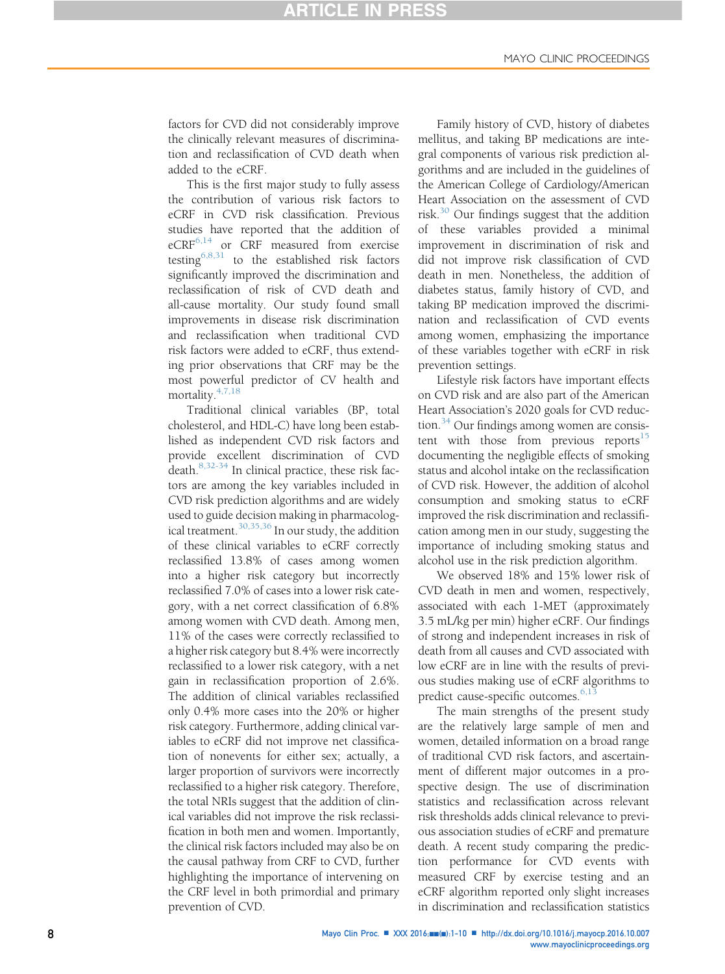# **ARTICLE IN PRESS**

factors for CVD did not considerably improve the clinically relevant measures of discrimination and reclassification of CVD death when added to the eCRF.

This is the first major study to fully assess the contribution of various risk factors to eCRF in CVD risk classification. Previous studies have reported that the addition of  $eCRF<sup>6,14</sup>$  $eCRF<sup>6,14</sup>$  $eCRF<sup>6,14</sup>$  or CRF measured from exercise testing<sup>[6,8,31](#page-9-0)</sup> to the established risk factors significantly improved the discrimination and reclassification of risk of CVD death and all-cause mortality. Our study found small improvements in disease risk discrimination and reclassification when traditional CVD risk factors were added to eCRF, thus extending prior observations that CRF may be the most powerful predictor of CV health and mortality.<sup>4,7,18</sup>

Traditional clinical variables (BP, total cholesterol, and HDL-C) have long been established as independent CVD risk factors and provide excellent discrimination of CVD death.[8,32-34](#page-9-0) In clinical practice, these risk factors are among the key variables included in CVD risk prediction algorithms and are widely used to guide decision making in pharmacolog-ical treatment.<sup>[30,35,36](#page-9-0)</sup> In our study, the addition of these clinical variables to eCRF correctly reclassified 13.8% of cases among women into a higher risk category but incorrectly reclassified 7.0% of cases into a lower risk category, with a net correct classification of 6.8% among women with CVD death. Among men, 11% of the cases were correctly reclassified to a higher risk category but 8.4% were incorrectly reclassified to a lower risk category, with a net gain in reclassification proportion of 2.6%. The addition of clinical variables reclassified only 0.4% more cases into the 20% or higher risk category. Furthermore, adding clinical variables to eCRF did not improve net classification of nonevents for either sex; actually, a larger proportion of survivors were incorrectly reclassified to a higher risk category. Therefore, the total NRIs suggest that the addition of clinical variables did not improve the risk reclassification in both men and women. Importantly, the clinical risk factors included may also be on the causal pathway from CRF to CVD, further highlighting the importance of intervening on the CRF level in both primordial and primary prevention of CVD.

Family history of CVD, history of diabetes mellitus, and taking BP medications are integral components of various risk prediction algorithms and are included in the guidelines of the American College of Cardiology/American Heart Association on the assessment of CVD risk. $30$  Our findings suggest that the addition of these variables provided a minimal improvement in discrimination of risk and did not improve risk classification of CVD death in men. Nonetheless, the addition of diabetes status, family history of CVD, and taking BP medication improved the discrimination and reclassification of CVD events among women, emphasizing the importance of these variables together with eCRF in risk prevention settings.

Lifestyle risk factors have important effects on CVD risk and are also part of the American Heart Association's 2020 goals for CVD reduction. $34$  Our findings among women are consistent with those from previous reports $15$ documenting the negligible effects of smoking status and alcohol intake on the reclassification of CVD risk. However, the addition of alcohol consumption and smoking status to eCRF improved the risk discrimination and reclassification among men in our study, suggesting the importance of including smoking status and alcohol use in the risk prediction algorithm.

We observed 18% and 15% lower risk of CVD death in men and women, respectively, associated with each 1-MET (approximately 3.5 mL/kg per min) higher eCRF. Our findings of strong and independent increases in risk of death from all causes and CVD associated with low eCRF are in line with the results of previous studies making use of eCRF algorithms to predict cause-specific outcomes.<sup>[6,13](#page-9-0)</sup>

The main strengths of the present study are the relatively large sample of men and women, detailed information on a broad range of traditional CVD risk factors, and ascertainment of different major outcomes in a prospective design. The use of discrimination statistics and reclassification across relevant risk thresholds adds clinical relevance to previous association studies of eCRF and premature death. A recent study comparing the prediction performance for CVD events with measured CRF by exercise testing and an eCRF algorithm reported only slight increases in discrimination and reclassification statistics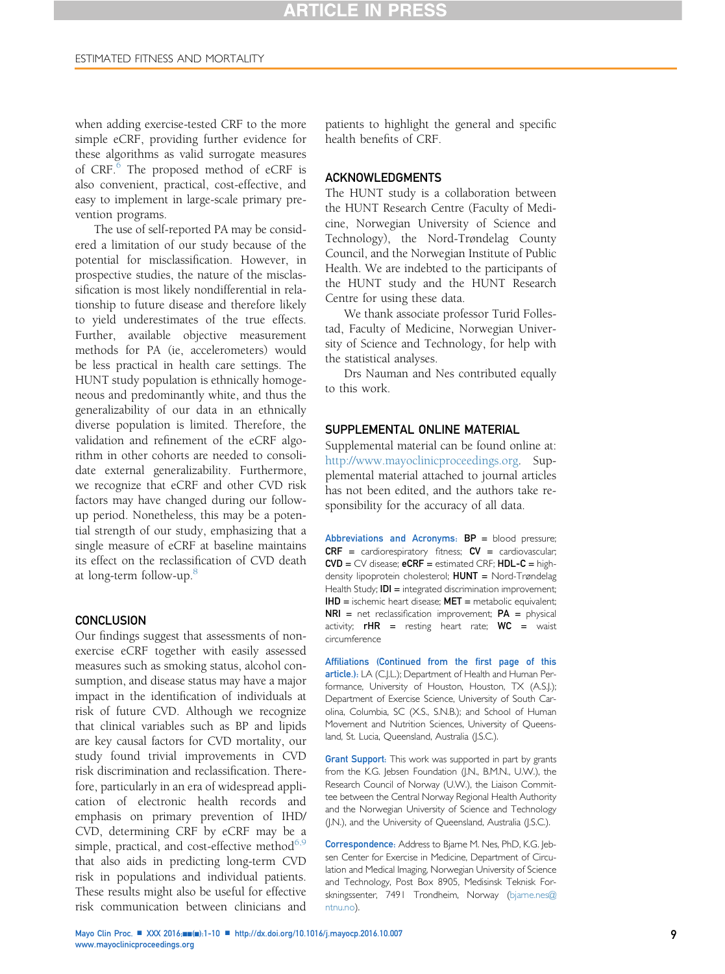when adding exercise-tested CRF to the more simple eCRF, providing further evidence for these algorithms as valid surrogate measures of CRF.<sup>[6](#page-9-0)</sup> The proposed method of eCRF is also convenient, practical, cost-effective, and easy to implement in large-scale primary prevention programs.

The use of self-reported PA may be considered a limitation of our study because of the potential for misclassification. However, in prospective studies, the nature of the misclassification is most likely nondifferential in relationship to future disease and therefore likely to yield underestimates of the true effects. Further, available objective measurement methods for PA (ie, accelerometers) would be less practical in health care settings. The HUNT study population is ethnically homogeneous and predominantly white, and thus the generalizability of our data in an ethnically diverse population is limited. Therefore, the validation and refinement of the eCRF algorithm in other cohorts are needed to consolidate external generalizability. Furthermore, we recognize that eCRF and other CVD risk factors may have changed during our followup period. Nonetheless, this may be a potential strength of our study, emphasizing that a single measure of eCRF at baseline maintains its effect on the reclassification of CVD death at long-term follow-up.<sup>[8](#page-9-0)</sup>

### **CONCLUSION**

Our findings suggest that assessments of nonexercise eCRF together with easily assessed measures such as smoking status, alcohol consumption, and disease status may have a major impact in the identification of individuals at risk of future CVD. Although we recognize that clinical variables such as BP and lipids are key causal factors for CVD mortality, our study found trivial improvements in CVD risk discrimination and reclassification. Therefore, particularly in an era of widespread application of electronic health records and emphasis on primary prevention of IHD/ CVD, determining CRF by eCRF may be a simple, practical, and cost-effective method $6,9$ that also aids in predicting long-term CVD risk in populations and individual patients. These results might also be useful for effective risk communication between clinicians and

patients to highlight the general and specific health benefits of CRF.

### ACKNOWLEDGMENTS

The HUNT study is a collaboration between the HUNT Research Centre (Faculty of Medicine, Norwegian University of Science and Technology), the Nord-Trøndelag County Council, and the Norwegian Institute of Public Health. We are indebted to the participants of the HUNT study and the HUNT Research Centre for using these data.

We thank associate professor Turid Follestad, Faculty of Medicine, Norwegian University of Science and Technology, for help with the statistical analyses.

Drs Nauman and Nes contributed equally to this work.

### SUPPLEMENTAL ONLINE MATERIAL

Supplemental material can be found online at: [http://www.mayoclinicproceedings.org.](http://www.mayoclinicproceedings.org) Supplemental material attached to journal articles has not been edited, and the authors take responsibility for the accuracy of all data.

Abbreviations and Acronyms:  $BP =$  blood pressure;  $CRF =$  cardiorespiratory fitness;  $CV =$  cardiovascular;  $CVD = CV$  disease;  $eCRF =$  estimated CRF;  $HDL-C =$  highdensity lipoprotein cholesterol; HUNT = Nord-Trøndelag Health Study; **IDI** = integrated discrimination improvement; IHD = ischemic heart disease; MET = metabolic equivalent;  $NRI$  = net reclassification improvement;  $PA$  = physical activity;  $rHR =$  resting heart rate;  $WC =$  waist circumference

Affiliations (Continued from the first page of this article.): LA (C.J.L.); Department of Health and Human Performance, University of Houston, Houston, TX (A.S.J.); Department of Exercise Science, University of South Carolina, Columbia, SC (X.S., S.N.B.); and School of Human Movement and Nutrition Sciences, University of Queensland, St. Lucia, Queensland, Australia (J.S.C.).

Grant Support: This work was supported in part by grants from the K.G. Jebsen Foundation (J.N., B.M.N., U.W.), the Research Council of Norway (U.W.), the Liaison Committee between the Central Norway Regional Health Authority and the Norwegian University of Science and Technology (J.N.), and the University of Queensland, Australia (J.S.C.).

Correspondence: Address to Bjarne M. Nes, PhD, K.G. Jebsen Center for Exercise in Medicine, Department of Circulation and Medical Imaging, Norwegian University of Science and Technology, Post Box 8905, Medisinsk Teknisk For-skningssenter, 7491 Trondheim, Norway [\(bjarne.nes@](mailto:bjarne.nes@ntnu.no) [ntnu.no](mailto:bjarne.nes@ntnu.no)).